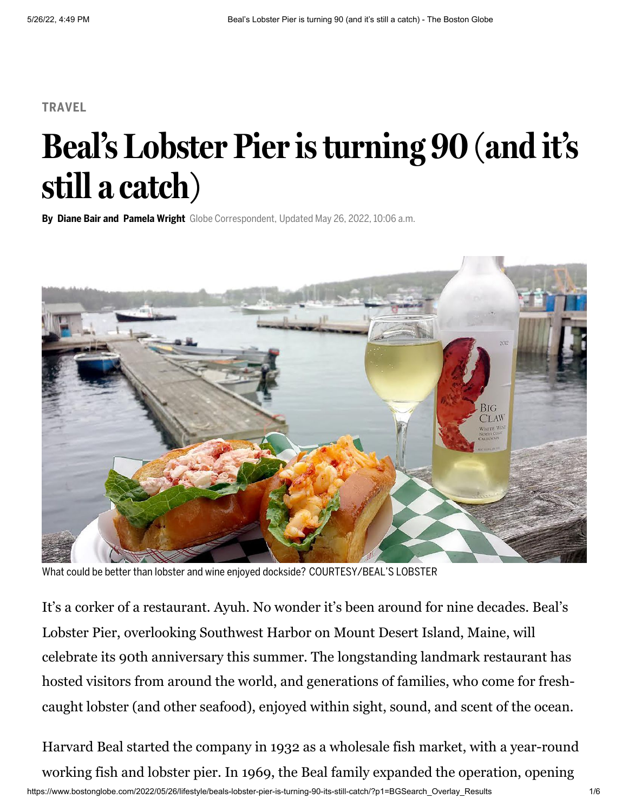## **TRAVEL**

## **Beal's Lobster Pier is turning 90 (and it's still a catch)**

**By Diane Bair and Pamela Wright** Globe Correspondent, Updated May 26, 2022, 10:06 a.m.



What could be better than lobster and wine enjoyed dockside? COURTESY/BEAL'S LOBSTER

It's a corker of a restaurant. Ayuh. No wonder it's been around for nine decades. Beal's Lobster Pier, overlooking Southwest Harbor on Mount Desert Island, Maine, will celebrate its 90th anniversary this summer. The longstanding landmark restaurant has hosted visitors from around the world, and generations of families, who come for freshcaught lobster (and other seafood), enjoyed within sight, sound, and scent of the ocean.

https://www.bostonglobe.com/2022/05/26/lifestyle/beals-lobster-pier-is-turning-90-its-still-catch/?p1=BGSearch\_Overlay\_Results 1/6 Harvard Beal started the company in 1932 as a wholesale fish market, with a year-round working fish and lobster pier. In 1969, the Beal family expanded the operation, opening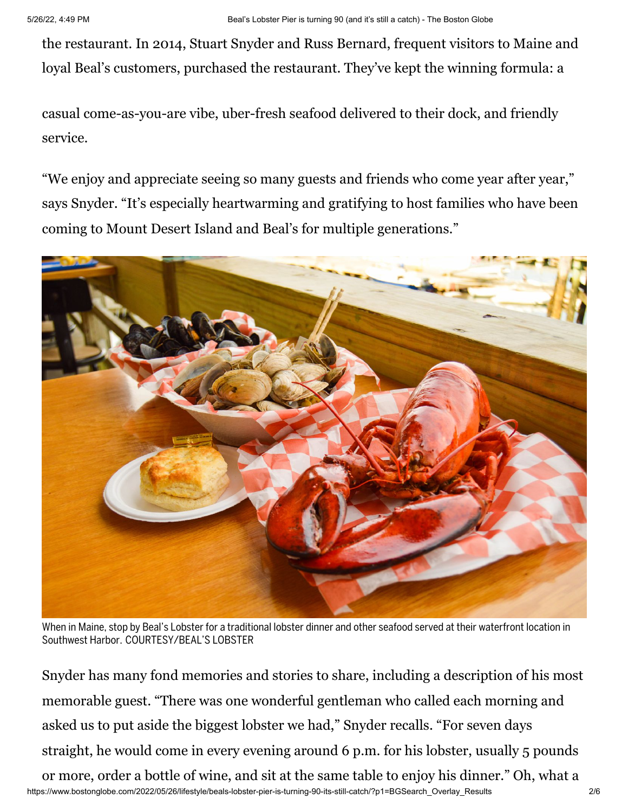the restaurant. In 2014, Stuart Snyder and Russ Bernard, frequent visitors to Maine and loyal Beal's customers, purchased the restaurant. They've kept the winning formula: a

casual come-as-you-are vibe, uber-fresh seafood delivered to their dock, and friendly service.

"We enjoy and appreciate seeing so many guests and friends who come year after year," says Snyder. "It's especially heartwarming and gratifying to host families who have been coming to Mount Desert Island and Beal's for multiple generations."



When in Maine, stop by Beal's Lobster for a traditional lobster dinner and other seafood served at their waterfront location in Southwest Harbor. COURTESY/BEAL'S LOBSTER

https://www.bostonglobe.com/2022/05/26/lifestyle/beals-lobster-pier-is-turning-90-its-still-catch/?p1=BGSearch\_Overlay\_Results 2/6 Snyder has many fond memories and stories to share, including a description of his most memorable guest. "There was one wonderful gentleman who called each morning and asked us to put aside the biggest lobster we had," Snyder recalls. "For seven days straight, he would come in every evening around 6 p.m. for his lobster, usually 5 pounds or more, order a bottle of wine, and sit at the same table to enjoy his dinner." Oh, what a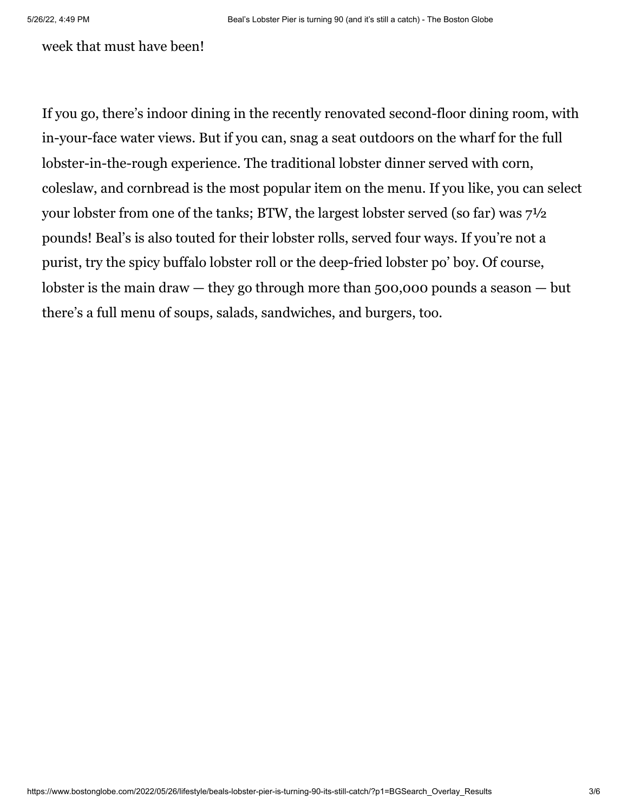## week that must have been!

If you go, there's indoor dining in the recently renovated second-floor dining room, with in-your-face water views. But if you can, snag a seat outdoors on the wharf for the full lobster-in-the-rough experience. The traditional lobster dinner served with corn, coleslaw, and cornbread is the most popular item on the menu. If you like, you can select your lobster from one of the tanks; BTW, the largest lobster served (so far) was 7½ pounds! Beal's is also touted for their lobster rolls, served four ways. If you're not a purist, try the spicy buffalo lobster roll or the deep-fried lobster po' boy. Of course, lobster is the main draw  $-$  they go through more than 500,000 pounds a season  $-$  but there's a full menu of soups, salads, sandwiches, and burgers, too.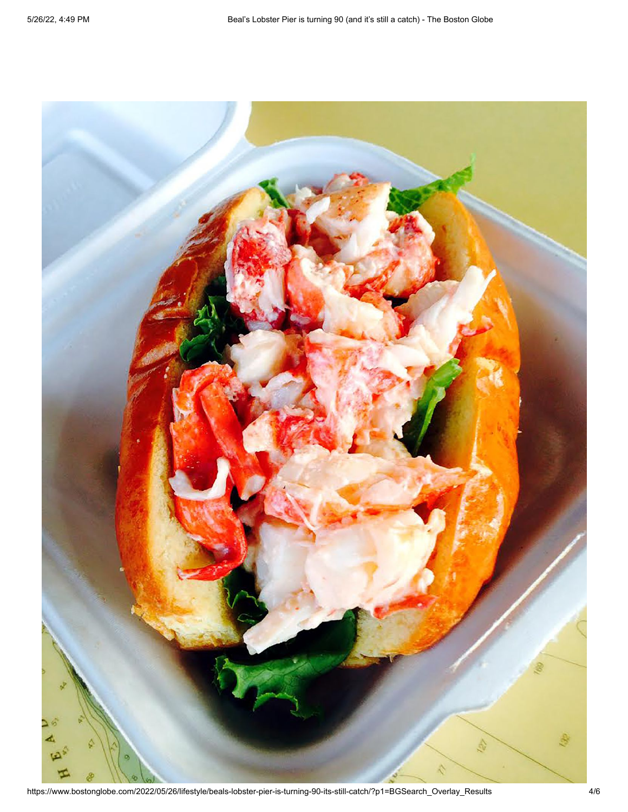

https://www.bostonglobe.com/2022/05/26/lifestyle/beals-lobster-pier-is-turning-90-its-still-catch/?p1=BGSearch\_Overlay\_Results 4/6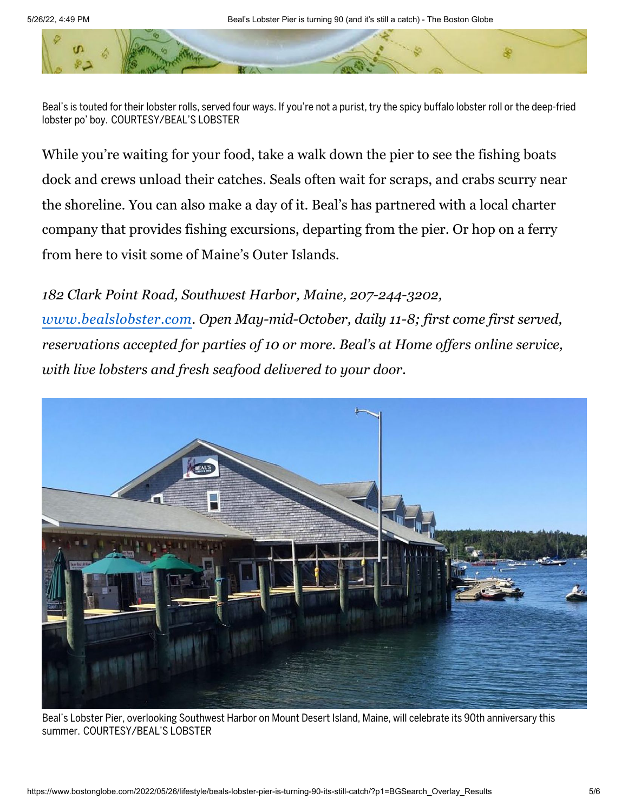Beal's is touted for their lobster rolls, served four ways. If you're not a purist, try the spicy buffalo lobster roll or the deep-fried lobster po' boy. COURTESY/BEAL'S LOBSTER

While you're waiting for your food, take a walk down the pier to see the fishing boats dock and crews unload their catches. Seals often wait for scraps, and crabs scurry near the shoreline. You can also make a day of it. Beal's has partnered with a local charter company that provides fishing excursions, departing from the pier. Or hop on a ferry from here to visit some of Maine's Outer Islands.

*182 Clark Point Road, Southwest Harbor, Maine, 207-244-3202, [www.bealslobster.com](http://www.bealslobster.com/). Open May-mid-October, daily 11-8; first come first served, reservations accepted for parties of 10 or more. Beal's at Home offers online service, with live lobsters and fresh seafood delivered to your door.*



Beal's Lobster Pier, overlooking Southwest Harbor on Mount Desert Island, Maine, will celebrate its 90th anniversary this summer. COURTESY/BEAL'S LOBSTER